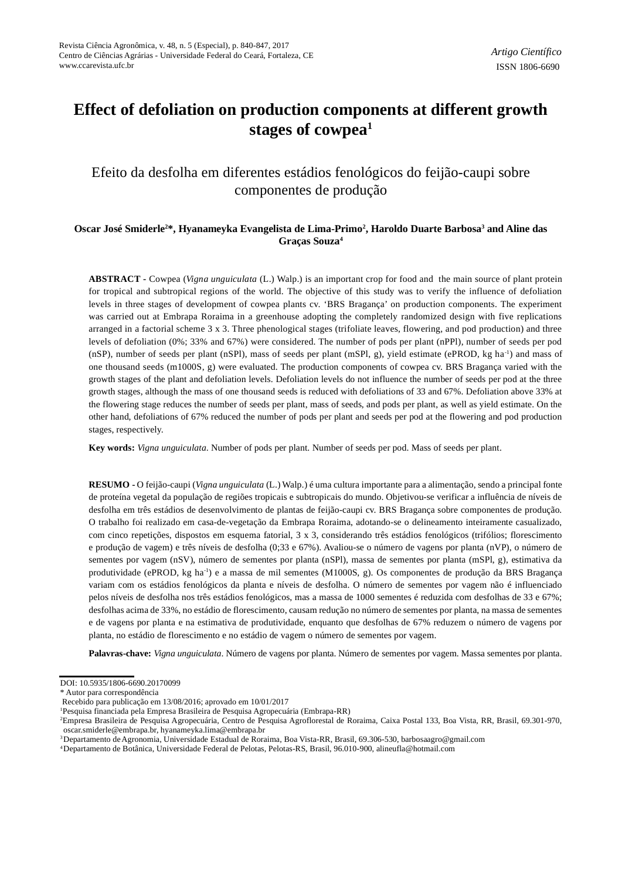# **Effect of defoliation on production components at different growth stages of cowpea<sup>1</sup>**

# Efeito da desfolha em diferentes estádios fenológicos do feijão-caupi sobre componentes de produção

# **Oscar José Smiderle2\*, Hyanameyka Evangelista de Lima-Primo<sup>2</sup> , Haroldo Duarte Barbosa<sup>3</sup> and Aline das Graças Souza<sup>4</sup>**

**ABSTRACT -** Cowpea (*Vigna unguiculata* (L.) Walp.) is an important crop for food and the main source of plant protein for tropical and subtropical regions of the world. The objective of this study was to verify the influence of defoliation levels in three stages of development of cowpea plants cv. 'BRS Bragança' on production components. The experiment was carried out at Embrapa Roraima in a greenhouse adopting the completely randomized design with five replications arranged in a factorial scheme 3 x 3. Three phenological stages (trifoliate leaves, flowering, and pod production) and three levels of defoliation (0%; 33% and 67%) were considered. The number of pods per plant (nPPl), number of seeds per pod (nSP), number of seeds per plant (nSPl), mass of seeds per plant (mSPl, g), yield estimate (ePROD, kg ha-1) and mass of one thousand seeds (m1000S, g) were evaluated. The production components of cowpea cv. BRS Bragança varied with the growth stages of the plant and defoliation levels. Defoliation levels do not influence the number of seeds per pod at the three growth stages, although the mass of one thousand seeds is reduced with defoliations of 33 and 67%. Defoliation above 33% at the flowering stage reduces the number of seeds per plant, mass of seeds, and pods per plant, as well as yield estimate. On the other hand, defoliations of 67% reduced the number of pods per plant and seeds per pod at the flowering and pod production stages, respectively.

**Key words:** *Vigna unguiculata*. Number of pods per plant. Number of seeds per pod. Mass of seeds per plant.

**RESUMO -** O feijão-caupi (*Vigna unguiculata* (L.) Walp*.*) é uma cultura importante para a alimentação, sendo a principal fonte de proteína vegetal da população de regiões tropicais e subtropicais do mundo. Objetivou-se verificar a influência de níveis de desfolha em três estádios de desenvolvimento de plantas de feijão-caupi cv. BRS Bragança sobre componentes de produção. O trabalho foi realizado em casa-de-vegetação da Embrapa Roraima, adotando-se o delineamento inteiramente casualizado, com cinco repetições, dispostos em esquema fatorial, 3 x 3, considerando três estádios fenológicos (trifólios; florescimento e produção de vagem) e três níveis de desfolha (0;33 e 67%). Avaliou-se o número de vagens por planta (nVP), o número de sementes por vagem (nSV), número de sementes por planta (nSPl), massa de sementes por planta (mSPl, g), estimativa da produtividade (ePROD, kg ha-1) e a massa de mil sementes (M1000S, g). Os componentes de produção da BRS Bragança variam com os estádios fenológicos da planta e níveis de desfolha. O número de sementes por vagem não é influenciado pelos níveis de desfolha nos três estádios fenológicos, mas a massa de 1000 sementes é reduzida com desfolhas de 33 e 67%; desfolhas acima de 33%, no estádio de florescimento, causam redução no número de sementes por planta, na massa de sementes e de vagens por planta e na estimativa de produtividade, enquanto que desfolhas de 67% reduzem o número de vagens por planta, no estádio de florescimento e no estádio de vagem o número de sementes por vagem.

**Palavras-chave:** *Vigna unguiculata*. Número de vagens por planta. Número de sementes por vagem. Massa sementes por planta.

DOI: 10.5935/1806-6690.20170099

<sup>\*</sup> Autor para correspondência

Recebido para publicação em 13/08/2016; aprovado em 10/01/2017

<sup>1</sup>Pesquisa financiada pela Empresa Brasileira de Pesquisa Agropecuária (Embrapa-RR)

<sup>2</sup>Empresa Brasileira de Pesquisa Agropecuária, Centro de Pesquisa Agroflorestal de Roraima, Caixa Postal 133, Boa Vista, RR, Brasil, 69.301-970, oscar.smiderle@embrapa.br, hyanameyka.lima@embrapa.br

<sup>3</sup> Departamento deAgronomia, Universidade Estadual de Roraima, Boa Vista-RR, Brasil, 69.306-530, barbosaagro@gmail.com

<sup>4</sup> Departamento de Botânica, Universidade Federal de Pelotas, Pelotas-RS, Brasil, 96.010-900, alineufla@hotmail.com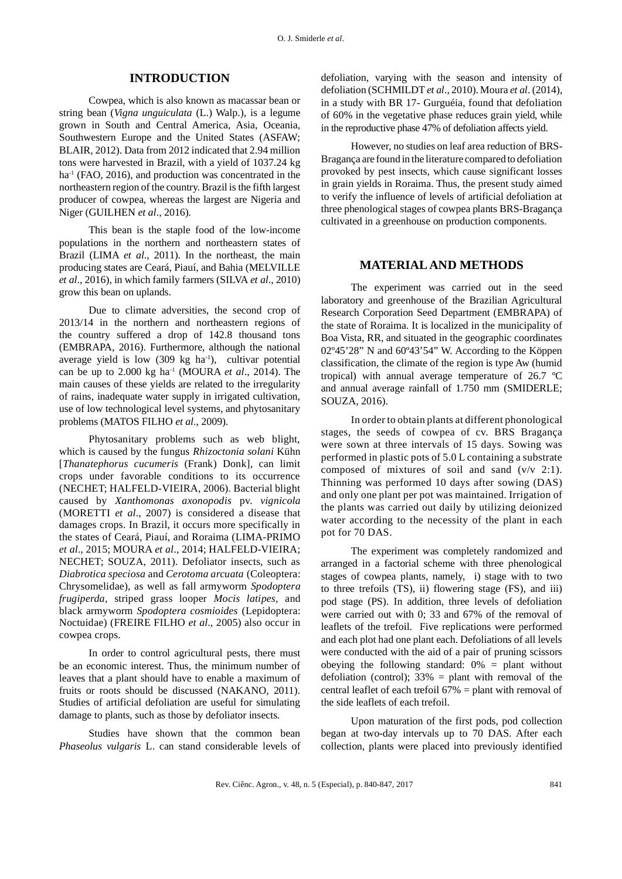# **INTRODUCTION**

Cowpea, which is also known as macassar bean or string bean (*Vigna unguiculata* (L.) Walp.), is a legume grown in South and Central America, Asia, Oceania, Southwestern Europe and the United States (ASFAW; BLAIR, 2012). Data from 2012 indicated that 2.94 million tons were harvested in Brazil, with a yield of 1037.24 kg ha<sup>-1</sup> (FAO, 2016), and production was concentrated in the northeastern region of the country. Brazil is the fifth largest producer of cowpea, whereas the largest are Nigeria and Niger (GUILHEN *et al*., 2016).

This bean is the staple food of the low-income populations in the northern and northeastern states of Brazil (LIMA *et al*., 2011). In the northeast, the main producing states are Ceará, Piauí, and Bahia (MELVILLE *et al*., 2016), in which family farmers (SILVA *et al*., 2010) grow this bean on uplands.

Due to climate adversities, the second crop of 2013/14 in the northern and northeastern regions of the country suffered a drop of 142.8 thousand tons (EMBRAPA, 2016). Furthermore, although the national average yield is low  $(309 \text{ kg } \text{ha}^1)$ , cultivar potential can be up to 2.000 kg ha-1 (MOURA *et al*., 2014). The main causes of these yields are related to the irregularity of rains, inadequate water supply in irrigated cultivation, use of low technological level systems, and phytosanitary problems (MATOS FILHO *et al*., 2009).

Phytosanitary problems such as web blight, which is caused by the fungus *Rhizoctonia solani* Kühn [*Thanatephorus cucumeris* (Frank) Donk], can limit crops under favorable conditions to its occurrence (NECHET; HALFELD-VIEIRA, 2006). Bacterial blight caused by *Xanthomonas axonopodis* pv. *vignicola* (MORETTI *et al*., 2007) is considered a disease that damages crops. In Brazil, it occurs more specifically in the states of Ceará, Piauí, and Roraima (LIMA-PRIMO *et al*., 2015; MOURA *et al*., 2014; HALFELD-VIEIRA; NECHET; SOUZA, 2011). Defoliator insects, such as *Diabrotica speciosa* and *Cerotoma arcuata* (Coleoptera: Chrysomelidae), as well as fall armyworm *Spodoptera frugiperda*, striped grass looper *Mocis latipes,* and black armyworm *Spodoptera cosmioides* (Lepidoptera: Noctuidae) (FREIRE FILHO *et al*., 2005) also occur in cowpea crops.

In order to control agricultural pests, there must be an economic interest. Thus, the minimum number of leaves that a plant should have to enable a maximum of fruits or roots should be discussed (NAKANO, 2011). Studies of artificial defoliation are useful for simulating damage to plants, such as those by defoliator insects.

Studies have shown that the common bean *Phaseolus vulgaris* L. can stand considerable levels of defoliation, varying with the season and intensity of defoliation (SCHMILDT *et al*., 2010). Moura *et al*. (2014), in a study with BR 17- Gurguéia, found that defoliation of 60% in the vegetative phase reduces grain yield, while in the reproductive phase 47% of defoliation affects yield.

However, no studies on leaf area reduction of BRS-Bragança are found in the literature compared to defoliation provoked by pest insects, which cause significant losses in grain yields in Roraima. Thus, the present study aimed to verify the influence of levels of artificial defoliation at three phenological stages of cowpea plants BRS-Bragança cultivated in a greenhouse on production components.

#### **MATERIAL AND METHODS**

The experiment was carried out in the seed laboratory and greenhouse of the Brazilian Agricultural Research Corporation Seed Department (EMBRAPA) of the state of Roraima. It is localized in the municipality of Boa Vista, RR, and situated in the geographic coordinates 02º45'28" N and 60º43'54" W. According to the Köppen classification, the climate of the region is type Aw (humid tropical) with annual average temperature of 26.7 ºC and annual average rainfall of 1.750 mm (SMIDERLE; SOUZA, 2016).

In order to obtain plants at different phonological stages, the seeds of cowpea of cv. BRS Bragança were sown at three intervals of 15 days. Sowing was performed in plastic pots of 5.0 L containing a substrate composed of mixtures of soil and sand (v/v 2:1). Thinning was performed 10 days after sowing (DAS) and only one plant per pot was maintained. Irrigation of the plants was carried out daily by utilizing deionized water according to the necessity of the plant in each pot for 70 DAS.

The experiment was completely randomized and arranged in a factorial scheme with three phenological stages of cowpea plants, namely, i) stage with to two to three trefoils (TS), ii) flowering stage (FS), and iii) pod stage (PS). In addition, three levels of defoliation were carried out with 0; 33 and 67% of the removal of leaflets of the trefoil. Five replications were performed and each plot had one plant each. Defoliations of all levels were conducted with the aid of a pair of pruning scissors obeying the following standard:  $0\%$  = plant without defoliation (control);  $33\%$  = plant with removal of the central leaflet of each trefoil 67% = plant with removal of the side leaflets of each trefoil.

Upon maturation of the first pods, pod collection began at two-day intervals up to 70 DAS. After each collection, plants were placed into previously identified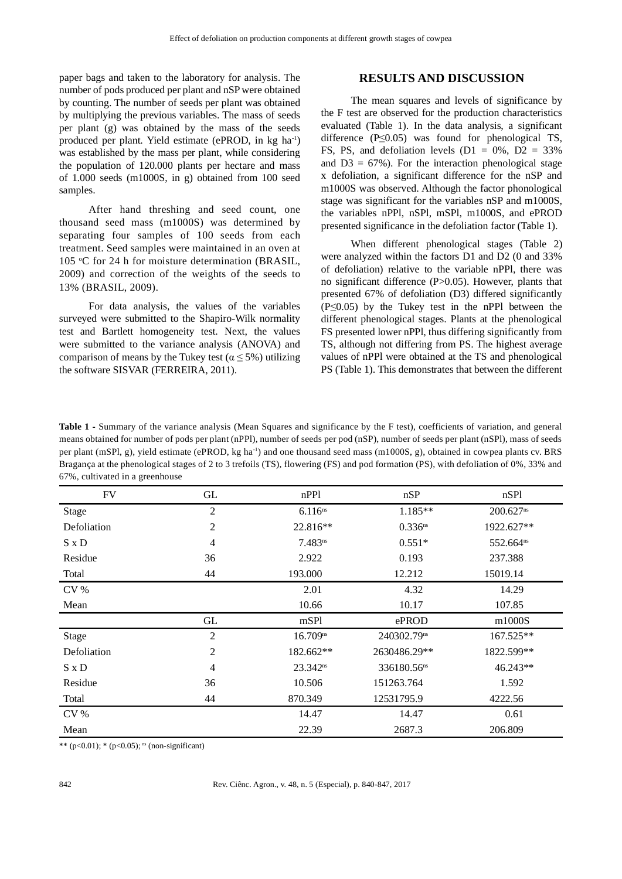paper bags and taken to the laboratory for analysis. The number of pods produced per plant and nSP were obtained by counting. The number of seeds per plant was obtained by multiplying the previous variables. The mass of seeds per plant (g) was obtained by the mass of the seeds produced per plant. Yield estimate (ePROD, in kg ha-1) was established by the mass per plant, while considering the population of 120.000 plants per hectare and mass of 1.000 seeds (m1000S, in g) obtained from 100 seed samples.

After hand threshing and seed count, one thousand seed mass (m1000S) was determined by separating four samples of 100 seeds from each treatment. Seed samples were maintained in an oven at 105 °C for 24 h for moisture determination (BRASIL, 2009) and correction of the weights of the seeds to 13% (BRASIL, 2009).

For data analysis, the values of the variables surveyed were submitted to the Shapiro-Wilk normality test and Bartlett homogeneity test. Next, the values were submitted to the variance analysis (ANOVA) and comparison of means by the Tukey test ( $\alpha \leq 5\%$ ) utilizing the software SISVAR (FERREIRA, 2011).

# **RESULTS AND DISCUSSION**

The mean squares and levels of significance by the F test are observed for the production characteristics evaluated (Table 1). In the data analysis, a significant difference  $(P \le 0.05)$  was found for phenological TS, FS, PS, and defoliation levels  $(D1 = 0\%, D2 = 33\%$ and  $D3 = 67\%$ ). For the interaction phenological stage x defoliation, a significant difference for the nSP and m1000S was observed. Although the factor phonological stage was significant for the variables nSP and m1000S, the variables nPPl, nSPl, mSPl, m1000S, and ePROD presented significance in the defoliation factor (Table 1).

When different phenological stages (Table 2) were analyzed within the factors D1 and D2 (0 and 33% of defoliation) relative to the variable nPPl, there was no significant difference (P>0.05). However, plants that presented 67% of defoliation (D3) differed significantly (P≤0.05) by the Tukey test in the nPPl between the different phenological stages. Plants at the phenological FS presented lower nPPl, thus differing significantly from TS, although not differing from PS. The highest average values of nPPl were obtained at the TS and phenological PS (Table 1). This demonstrates that between the different

**Table 1 -** Summary of the variance analysis (Mean Squares and significance by the F test), coefficients of variation, and general means obtained for number of pods per plant (nPPl), number of seeds per pod (nSP), number of seeds per plant (nSPl), mass of seeds per plant (mSPl, g), yield estimate (ePROD, kg ha<sup>-1</sup>) and one thousand seed mass (m1000S, g), obtained in cowpea plants cv. BRS Bragança at the phenological stages of 2 to 3 trefoils (TS), flowering (FS) and pod formation (PS), with defoliation of 0%, 33% and 67%, cultivated in a greenhouse

| <b>FV</b>       | GL             | nPPl                 | nSP                     | nSP1                  |  |
|-----------------|----------------|----------------------|-------------------------|-----------------------|--|
| Stage           | $\overline{2}$ | $6.116^{ns}$         | 1.185**                 | 200.627 <sup>ns</sup> |  |
| Defoliation     | $\mathfrak{2}$ | 22.816**             | $0.336$ ns              | 1922.627**            |  |
| $S \times D$    | 4              | $7.483^{ns}$         | $0.551*$                | 552.664ns             |  |
| Residue         | 36             | 2.922                | 0.193                   | 237.388               |  |
| Total           | 44             | 193.000              | 12.212                  | 15019.14              |  |
| $\rm{CV}$ %     |                | 2.01                 | 4.32                    | 14.29                 |  |
| Mean            |                | 10.66                | 10.17                   | 107.85                |  |
|                 | GL             | mSPl                 | ePROD                   | m1000S                |  |
| Stage           | $\overline{2}$ | 16.709 <sup>ns</sup> | 240302.79ns             | 167.525**             |  |
| Defoliation     | $\overline{2}$ | 182.662**            | 2630486.29**            | 1822.599**            |  |
| S x D           | $\overline{4}$ | $23.342^{ns}$        | 336180.56 <sup>ns</sup> | 46.243**              |  |
| Residue         | 36             | 10.506               | 151263.764              | 1.592                 |  |
| Total           | 44             | 870.349              | 12531795.9              | 4222.56               |  |
| CV <sub>0</sub> |                | 14.47                | 14.47                   | 0.61                  |  |
| Mean            |                | 22.39                | 2687.3                  | 206.809               |  |

\*\* (p<0.01); \* (p<0.05);  $\text{ns}$  (non-significant)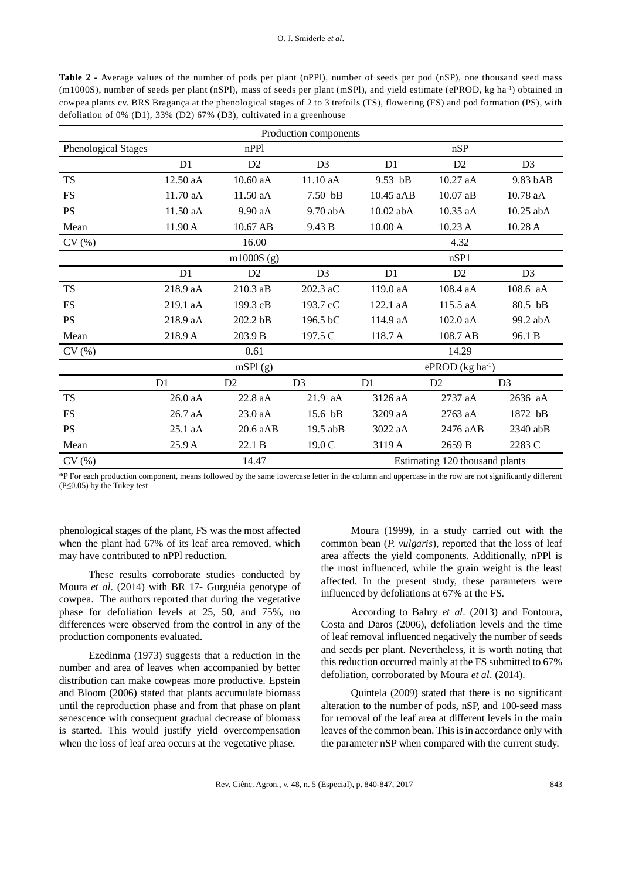**Table 2 -** Average values of the number of pods per plant (nPPl), number of seeds per pod (nSP), one thousand seed mass (m1000S), number of seeds per plant (nSPl), mass of seeds per plant (mSPl), and yield estimate (ePROD, kg ha-1) obtained in cowpea plants cv. BRS Bragança at the phenological stages of 2 to 3 trefoils (TS), flowering (FS) and pod formation (PS), with defoliation of 0% (D1), 33% (D2) 67% (D3), cultivated in a greenhouse

| Production components |                |                |                |                |                                |                |  |  |  |
|-----------------------|----------------|----------------|----------------|----------------|--------------------------------|----------------|--|--|--|
| Phenological Stages   |                | nPP1           |                |                | nSP                            |                |  |  |  |
|                       | D <sub>1</sub> | D <sub>2</sub> | D <sub>3</sub> | D <sub>1</sub> | D2                             | D <sub>3</sub> |  |  |  |
| <b>TS</b>             | 12.50 aA       | 10.60 aA       | 11.10 aA       | 9.53 bB        | 10.27 aA                       | 9.83 bAB       |  |  |  |
| <b>FS</b>             | 11.70 aA       | 11.50 aA       | 7.50 bB        | 10.45 aAB      | 10.07 aB                       | 10.78 aA       |  |  |  |
| <b>PS</b>             | 11.50 aA       | 9.90 aA        | 9.70 abA       | 10.02 abA      | 10.35 aA                       | 10.25 abA      |  |  |  |
| Mean                  | 11.90 A        | 10.67 AB       | 9.43 B         | 10.00 A        | 10.23 A                        | 10.28 A        |  |  |  |
| CV(%)                 |                | 16.00          |                |                | 4.32                           |                |  |  |  |
|                       |                | $m1000S$ (g)   |                |                | nSP1                           |                |  |  |  |
|                       | D <sub>1</sub> | D2             | D <sub>3</sub> | D <sub>1</sub> | D2                             | D <sub>3</sub> |  |  |  |
| <b>TS</b>             | 218.9 aA       | 210.3 aB       | 202.3 aC       | 119.0 aA       | 108.4 aA                       | 108.6 aA       |  |  |  |
| <b>FS</b>             | 219.1 aA       | 199.3 cB       | 193.7 cC       | 122.1 aA       | 115.5 aA                       | 80.5 bB        |  |  |  |
| <b>PS</b>             | 218.9 aA       | 202.2 bB       | 196.5 bC       | 114.9 aA       | 102.0 aA                       | 99.2 abA       |  |  |  |
| Mean                  | 218.9 A        | 203.9 B        | 197.5 C        | 118.7 A        | 108.7 AB                       | 96.1 B         |  |  |  |
| CV(%)                 |                | 0.61           |                |                | 14.29                          |                |  |  |  |
|                       |                | mSPI(g)        |                |                | ePROD $(kg ha-1)$              |                |  |  |  |
|                       | D1             | D <sub>2</sub> | D <sub>3</sub> | D1             | D <sub>2</sub>                 | D <sub>3</sub> |  |  |  |
| <b>TS</b>             | 26.0 aA        | 22.8 aA        | 21.9 aA        | 3126 aA        | 2737 aA                        | 2636 aA        |  |  |  |
| <b>FS</b>             | $26.7$ aA      | 23.0 aA        | 15.6 bB        | 3209 aA        | 2763 aA                        | 1872 bB        |  |  |  |
| <b>PS</b>             | $25.1$ aA      | $20.6$ aAB     | $19.5$ abB     | 3022 aA        | 2476 aAB                       | $2340$ abB     |  |  |  |
| Mean                  | 25.9 A         | 22.1 B         | 19.0 C         | 3119 A         | 2659 B                         | 2283 C         |  |  |  |
| CV(%)                 |                | 14.47          |                |                | Estimating 120 thousand plants |                |  |  |  |

\*P For each production component, means followed by the same lowercase letter in the column and uppercase in the row are not significantly different (P≤0.05) by the Tukey test

phenological stages of the plant, FS was the most affected when the plant had 67% of its leaf area removed, which may have contributed to nPPl reduction.

These results corroborate studies conducted by Moura *et al*. (2014) with BR 17- Gurguéia genotype of cowpea. The authors reported that during the vegetative phase for defoliation levels at 25, 50, and 75%, no differences were observed from the control in any of the production components evaluated.

Ezedinma (1973) suggests that a reduction in the number and area of leaves when accompanied by better distribution can make cowpeas more productive. Epstein and Bloom (2006) stated that plants accumulate biomass until the reproduction phase and from that phase on plant senescence with consequent gradual decrease of biomass is started. This would justify yield overcompensation when the loss of leaf area occurs at the vegetative phase.

Moura (1999), in a study carried out with the common bean (*P. vulgaris*), reported that the loss of leaf area affects the yield components. Additionally, nPPl is the most influenced, while the grain weight is the least affected. In the present study, these parameters were influenced by defoliations at 67% at the FS.

According to Bahry *et al*. (2013) and Fontoura, Costa and Daros (2006), defoliation levels and the time of leaf removal influenced negatively the number of seeds and seeds per plant. Nevertheless, it is worth noting that this reduction occurred mainly at the FS submitted to 67% defoliation, corroborated by Moura *et al*. (2014).

Quintela (2009) stated that there is no significant alteration to the number of pods, nSP, and 100-seed mass for removal of the leaf area at different levels in the main leaves of the common bean. This is in accordance only with the parameter nSP when compared with the current study.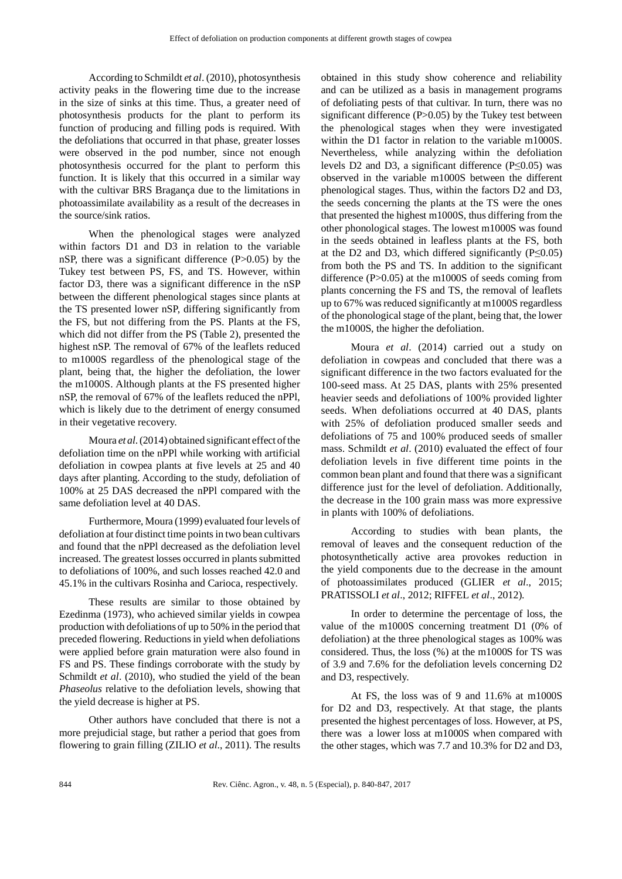According to Schmildt *et al*. (2010), photosynthesis activity peaks in the flowering time due to the increase in the size of sinks at this time. Thus, a greater need of photosynthesis products for the plant to perform its function of producing and filling pods is required. With the defoliations that occurred in that phase, greater losses were observed in the pod number, since not enough photosynthesis occurred for the plant to perform this function. It is likely that this occurred in a similar way with the cultivar BRS Bragança due to the limitations in photoassimilate availability as a result of the decreases in the source/sink ratios.

When the phenological stages were analyzed within factors D1 and D3 in relation to the variable nSP, there was a significant difference (P>0.05) by the Tukey test between PS, FS, and TS. However, within factor D3, there was a significant difference in the nSP between the different phenological stages since plants at the TS presented lower nSP, differing significantly from the FS, but not differing from the PS. Plants at the FS, which did not differ from the PS (Table 2), presented the highest nSP. The removal of 67% of the leaflets reduced to m1000S regardless of the phenological stage of the plant, being that, the higher the defoliation, the lower the m1000S. Although plants at the FS presented higher nSP, the removal of 67% of the leaflets reduced the nPPl, which is likely due to the detriment of energy consumed in their vegetative recovery.

Moura *et al*. (2014) obtained significant effect of the defoliation time on the nPPl while working with artificial defoliation in cowpea plants at five levels at 25 and 40 days after planting. According to the study, defoliation of 100% at 25 DAS decreased the nPPl compared with the same defoliation level at 40 DAS.

Furthermore, Moura (1999) evaluated four levels of defoliation at four distinct time points in two bean cultivars and found that the nPPl decreased as the defoliation level increased. The greatest losses occurred in plants submitted to defoliations of 100%, and such losses reached 42.0 and 45.1% in the cultivars Rosinha and Carioca, respectively.

These results are similar to those obtained by Ezedinma (1973), who achieved similar yields in cowpea production with defoliations of up to 50% in the period that preceded flowering. Reductions in yield when defoliations were applied before grain maturation were also found in FS and PS. These findings corroborate with the study by Schmildt *et al.* (2010), who studied the yield of the bean *Phaseolus* relative to the defoliation levels, showing that the yield decrease is higher at PS.

Other authors have concluded that there is not a more prejudicial stage, but rather a period that goes from flowering to grain filling (ZILIO *et al*., 2011). The results

obtained in this study show coherence and reliability and can be utilized as a basis in management programs of defoliating pests of that cultivar. In turn, there was no significant difference (P>0.05) by the Tukey test between the phenological stages when they were investigated within the D1 factor in relation to the variable m1000S. Nevertheless, while analyzing within the defoliation levels D2 and D3, a significant difference (P≤0.05) was observed in the variable m1000S between the different phenological stages. Thus, within the factors D2 and D3, the seeds concerning the plants at the TS were the ones that presented the highest m1000S, thus differing from the other phonological stages. The lowest m1000S was found in the seeds obtained in leafless plants at the FS, both at the D2 and D3, which differed significantly  $(P \le 0.05)$ from both the PS and TS. In addition to the significant difference (P>0.05) at the m1000S of seeds coming from plants concerning the FS and TS, the removal of leaflets up to 67% was reduced significantly at m1000S regardless of the phonological stage of the plant, being that, the lower the m1000S, the higher the defoliation.

Moura *et al*. (2014) carried out a study on defoliation in cowpeas and concluded that there was a significant difference in the two factors evaluated for the 100-seed mass. At 25 DAS, plants with 25% presented heavier seeds and defoliations of 100% provided lighter seeds. When defoliations occurred at 40 DAS, plants with 25% of defoliation produced smaller seeds and defoliations of 75 and 100% produced seeds of smaller mass. Schmildt *et al*. (2010) evaluated the effect of four defoliation levels in five different time points in the common bean plant and found that there was a significant difference just for the level of defoliation. Additionally, the decrease in the 100 grain mass was more expressive in plants with 100% of defoliations.

According to studies with bean plants, the removal of leaves and the consequent reduction of the photosynthetically active area provokes reduction in the yield components due to the decrease in the amount of photoassimilates produced (GLIER *et al*., 2015; PRATISSOLI *et al*., 2012; RIFFEL *et al*., 2012).

In order to determine the percentage of loss, the value of the m1000S concerning treatment D1 (0% of defoliation) at the three phenological stages as 100% was considered. Thus, the loss (%) at the m1000S for TS was of 3.9 and 7.6% for the defoliation levels concerning D2 and D3, respectively.

At FS, the loss was of 9 and 11.6% at m1000S for D2 and D3, respectively. At that stage, the plants presented the highest percentages of loss. However, at PS, there was a lower loss at m1000S when compared with the other stages, which was 7.7 and 10.3% for D2 and D3,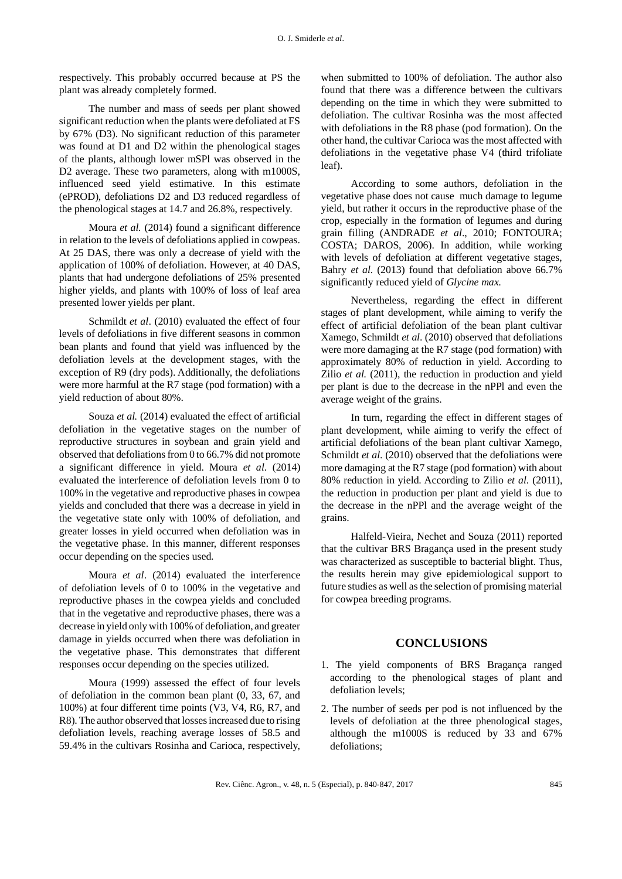respectively. This probably occurred because at PS the plant was already completely formed.

The number and mass of seeds per plant showed significant reduction when the plants were defoliated at FS by 67% (D3). No significant reduction of this parameter was found at D1 and D2 within the phenological stages of the plants, although lower mSPl was observed in the D2 average. These two parameters, along with m1000S, influenced seed yield estimative. In this estimate (ePROD), defoliations D2 and D3 reduced regardless of the phenological stages at 14.7 and 26.8%, respectively.

Moura *et al.* (2014) found a significant difference in relation to the levels of defoliations applied in cowpeas. At 25 DAS, there was only a decrease of yield with the application of 100% of defoliation. However, at 40 DAS, plants that had undergone defoliations of 25% presented higher yields, and plants with 100% of loss of leaf area presented lower yields per plant.

Schmildt *et al*. (2010) evaluated the effect of four levels of defoliations in five different seasons in common bean plants and found that yield was influenced by the defoliation levels at the development stages, with the exception of R9 (dry pods). Additionally, the defoliations were more harmful at the R7 stage (pod formation) with a yield reduction of about 80%.

Souza *et al.* (2014) evaluated the effect of artificial defoliation in the vegetative stages on the number of reproductive structures in soybean and grain yield and observed that defoliations from 0 to 66.7% did not promote a significant difference in yield. Moura *et al.* (2014) evaluated the interference of defoliation levels from 0 to 100% in the vegetative and reproductive phases in cowpea yields and concluded that there was a decrease in yield in the vegetative state only with 100% of defoliation, and greater losses in yield occurred when defoliation was in the vegetative phase. In this manner, different responses occur depending on the species used.

Moura *et al*. (2014) evaluated the interference of defoliation levels of 0 to 100% in the vegetative and reproductive phases in the cowpea yields and concluded that in the vegetative and reproductive phases, there was a decrease in yield only with 100% of defoliation, and greater damage in yields occurred when there was defoliation in the vegetative phase. This demonstrates that different responses occur depending on the species utilized.

Moura (1999) assessed the effect of four levels of defoliation in the common bean plant (0, 33, 67, and 100%) at four different time points (V3, V4, R6, R7, and R8). The author observed that losses increased due to rising defoliation levels, reaching average losses of 58.5 and 59.4% in the cultivars Rosinha and Carioca, respectively, when submitted to 100% of defoliation. The author also found that there was a difference between the cultivars depending on the time in which they were submitted to defoliation. The cultivar Rosinha was the most affected with defoliations in the R8 phase (pod formation). On the other hand, the cultivar Carioca was the most affected with defoliations in the vegetative phase V4 (third trifoliate leaf).

According to some authors, defoliation in the vegetative phase does not cause much damage to legume yield, but rather it occurs in the reproductive phase of the crop, especially in the formation of legumes and during grain filling (ANDRADE *et al*., 2010; FONTOURA; COSTA; DAROS, 2006). In addition, while working with levels of defoliation at different vegetative stages, Bahry *et al*. (2013) found that defoliation above 66.7% significantly reduced yield of *Glycine max.*

Nevertheless, regarding the effect in different stages of plant development, while aiming to verify the effect of artificial defoliation of the bean plant cultivar Xamego, Schmildt *et al*. (2010) observed that defoliations were more damaging at the R7 stage (pod formation) with approximately 80% of reduction in yield. According to Zilio *et al.* (2011), the reduction in production and yield per plant is due to the decrease in the nPPl and even the average weight of the grains.

In turn, regarding the effect in different stages of plant development, while aiming to verify the effect of artificial defoliations of the bean plant cultivar Xamego, Schmildt *et al.* (2010) observed that the defoliations were more damaging at the R7 stage (pod formation) with about 80% reduction in yield. According to Zilio *et al*. (2011), the reduction in production per plant and yield is due to the decrease in the nPPl and the average weight of the grains.

Halfeld-Vieira, Nechet and Souza (2011) reported that the cultivar BRS Bragança used in the present study was characterized as susceptible to bacterial blight. Thus, the results herein may give epidemiological support to future studies as well as the selection of promising material for cowpea breeding programs.

#### **CONCLUSIONS**

- 1. The yield components of BRS Bragança ranged according to the phenological stages of plant and defoliation levels;
- 2. The number of seeds per pod is not influenced by the levels of defoliation at the three phenological stages, although the m1000S is reduced by 33 and 67% defoliations;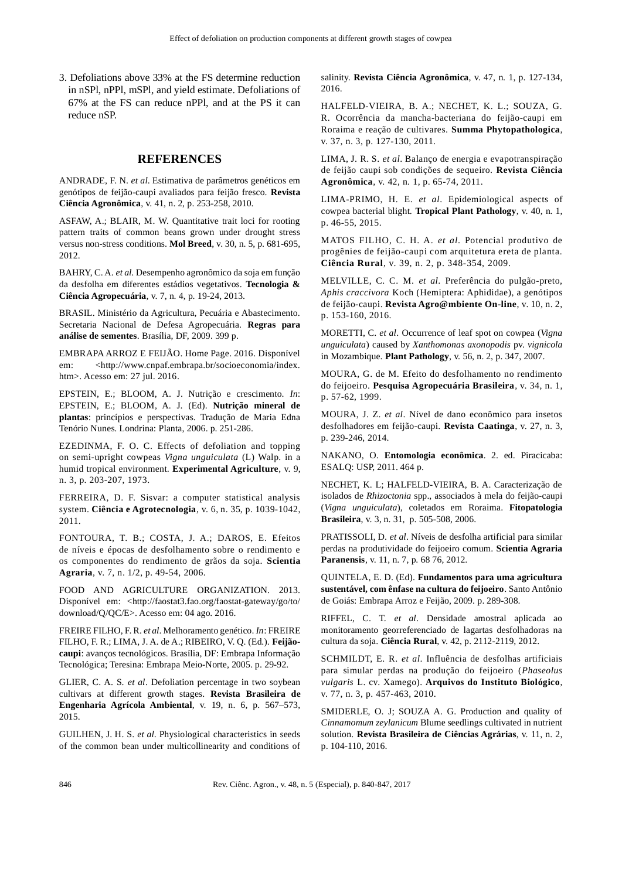3. Defoliations above 33% at the FS determine reduction in nSPl, nPPl, mSPl, and yield estimate. Defoliations of 67% at the FS can reduce nPPl, and at the PS it can reduce nSP.

#### **REFERENCES**

ANDRADE, F. N. *et al*. Estimativa de parâmetros genéticos em genótipos de feijão-caupi avaliados para feijão fresco. **Revista Ciência Agronômica**, v. 41, n. 2, p. 253-258, 2010.

ASFAW, A.; BLAIR, M. W. Quantitative trait loci for rooting pattern traits of common beans grown under drought stress versus non-stress conditions. **Mol Breed**, v. 30, n. 5, p. 681-695, 2012.

BAHRY, C. A. *et al*. Desempenho agronômico da soja em função da desfolha em diferentes estádios vegetativos. **Tecnologia & Ciência Agropecuária**, v. 7, n. 4, p. 19-24, 2013.

BRASIL. Ministério da Agricultura, Pecuária e Abastecimento. Secretaria Nacional de Defesa Agropecuária. **Regras para análise de sementes**. Brasília, DF, 2009. 399 p.

EMBRAPA ARROZ E FEIJÃO. Home Page. 2016. Disponível em: <http://www.cnpaf.embrapa.br/socioeconomia/index. htm>. Acesso em: 27 jul. 2016.

EPSTEIN, E.; BLOOM, A. J. Nutrição e crescimento. *In*: EPSTEIN, E.; BLOOM, A. J. (Ed). **Nutrição mineral de plantas**: princípios e perspectivas. Tradução de Maria Edna Tenório Nunes. Londrina: Planta, 2006. p. 251-286.

EZEDINMA, F. O. C. Effects of defoliation and topping on semi-upright cowpeas *Vigna unguiculata* (L) Walp. in a humid tropical environment. **Experimental Agriculture**, v. 9, n. 3, p. 203-207, 1973.

FERREIRA, D. F. Sisvar: a computer statistical analysis system. **Ciência e Agrotecnologia**, v. 6, n. 35, p. 1039-1042, 2011.

FONTOURA, T. B.; COSTA, J. A.; DAROS, E. Efeitos de níveis e épocas de desfolhamento sobre o rendimento e os componentes do rendimento de grãos da soja. **Scientia Agraria**, v. 7, n. 1/2, p. 49-54, 2006.

FOOD AND AGRICULTURE ORGANIZATION. 2013. Disponível em: <http://faostat3.fao.org/faostat-gateway/go/to/ download/Q/QC/E>. Acesso em: 04 ago. 2016.

FREIRE FILHO, F. R. *et al*. Melhoramento genético. *In*: FREIRE FILHO, F. R.; LIMA, J. A. de A.; RIBEIRO, V. Q. (Ed.). **Feijãocaupi**: avanços tecnológicos. Brasília, DF: Embrapa Informação Tecnológica; Teresina: Embrapa Meio-Norte, 2005. p. 29-92.

GLIER, C. A. S. *et al*. Defoliation percentage in two soybean cultivars at different growth stages. **Revista Brasileira de Engenharia Agrícola Ambiental**, v. 19, n. 6, p. 567–573, 2015.

GUILHEN, J. H. S. *et al*. Physiological characteristics in seeds of the common bean under multicollinearity and conditions of salinity. **Revista Ciência Agronômica**, v. 47, n. 1, p. 127-134, 2016.

HALFELD-VIEIRA, B. A.; NECHET, K. L.; SOUZA, G. R. Ocorrência da mancha-bacteriana do feijão-caupi em Roraima e reação de cultivares. **Summa Phytopathologica**, v. 37, n. 3, p. 127-130, 2011.

LIMA, J. R. S. *et al*. Balanço de energia e evapotranspiração de feijão caupi sob condições de sequeiro. **Revista Ciência Agronômica**, v. 42, n. 1, p. 65-74, 2011.

LIMA-PRIMO, H. E. *et al*. Epidemiological aspects of cowpea bacterial blight. **Tropical Plant Pathology**, v. 40, n. 1, p. 46-55, 2015.

MATOS FILHO, C. H. A. *et al*. Potencial produtivo de progênies de feijão-caupi com arquitetura ereta de planta. **Ciência Rural**, v. 39, n. 2, p. 348-354, 2009.

MELVILLE, C. C. M. *et al*. Preferência do pulgão-preto, *Aphis craccivora* Koch (Hemiptera: Aphididae), a genótipos de feijão-caupi. **Revista Agro@mbiente On-line**, v. 10, n. 2, p. 153-160, 2016.

MORETTI, C. *et al*. Occurrence of leaf spot on cowpea (*Vigna unguiculata*) caused by *Xanthomonas axonopodis* pv. *vignicola* in Mozambique. **Plant Pathology**, v. 56, n. 2, p. 347, 2007.

MOURA, G. de M. Efeito do desfolhamento no rendimento do feijoeiro. **Pesquisa Agropecuária Brasileira**, v. 34, n. 1, p. 57-62, 1999.

MOURA, J. Z. *et al*. Nível de dano econômico para insetos desfolhadores em feijão-caupi. **Revista Caatinga**, v. 27, n. 3, p. 239-246, 2014.

NAKANO, O. **Entomologia econômica**. 2. ed. Piracicaba: ESALQ: USP, 2011. 464 p.

NECHET, K. L; HALFELD-VIEIRA, B. A. Caracterização de isolados de *Rhizoctonia* spp., associados à mela do feijão-caupi (*Vigna unguiculata*), coletados em Roraima. **Fitopatologia Brasileira**, v. 3, n. 31, p. 505-508, 2006.

PRATISSOLI, D. *et al*. Níveis de desfolha artificial para similar perdas na produtividade do feijoeiro comum. **Scientia Agraria Paranensis**, v. 11, n. 7, p. 68 76, 2012.

QUINTELA, E. D. (Ed). **Fundamentos para uma agricultura sustentável, com ênfase na cultura do feijoeiro**. Santo Antônio de Goiás: Embrapa Arroz e Feijão, 2009. p. 289-308.

RIFFEL, C. T. *et al*. Densidade amostral aplicada ao monitoramento georreferenciado de lagartas desfolhadoras na cultura da soja. **Ciência Rural**, v. 42, p. 2112-2119, 2012.

SCHMILDT, E. R. *et al*. Influência de desfolhas artificiais para simular perdas na produção do feijoeiro (*Phaseolus vulgaris* L. cv. Xamego). **Arquivos do Instituto Biológico**, v. 77, n. 3, p. 457-463, 2010.

SMIDERLE, O. J; SOUZA A. G. Production and quality of *Cinnamomum zeylanicum* Blume seedlings cultivated in nutrient solution. **Revista Brasileira de Ciências Agrárias**, v. 11, n. 2, p. 104-110, 2016.